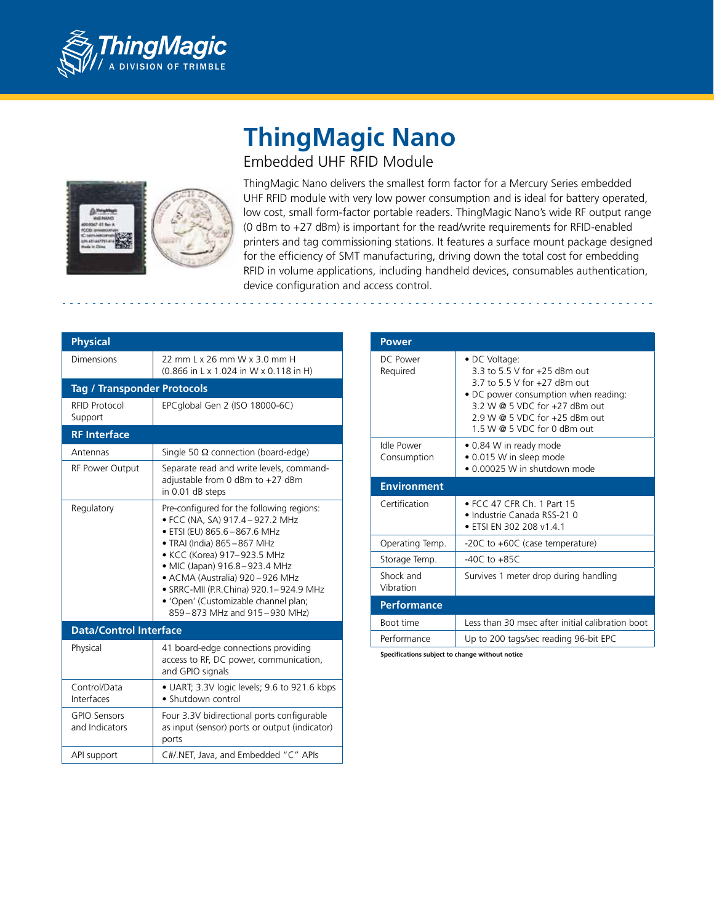

## **ThingMagic Nano** Embedded UHF RFID Module



ThingMagic Nano delivers the smallest form factor for a Mercury Series embedded UHF RFID module with very low power consumption and is ideal for battery operated, low cost, small form-factor portable readers. ThingMagic Nano's wide RF output range (0 dBm to +27 dBm) is important for the read/write requirements for RFID-enabled printers and tag commissioning stations. It features a surface mount package designed for the efficiency of SMT manufacturing, driving down the total cost for embedding RFID in volume applications, including handheld devices, consumables authentication, device configuration and access control.

| <b>Physical</b>                       |                                                                                                                                                                                                                                                                                                                                                                |
|---------------------------------------|----------------------------------------------------------------------------------------------------------------------------------------------------------------------------------------------------------------------------------------------------------------------------------------------------------------------------------------------------------------|
| Dimensions                            | 22 mm L x 26 mm W x 3.0 mm H<br>(0.866 in L x 1.024 in W x 0.118 in H)                                                                                                                                                                                                                                                                                         |
| <b>Tag / Transponder Protocols</b>    |                                                                                                                                                                                                                                                                                                                                                                |
| <b>RFID Protocol</b><br>Support       | EPCglobal Gen 2 (ISO 18000-6C)                                                                                                                                                                                                                                                                                                                                 |
| <b>RF</b> Interface                   |                                                                                                                                                                                                                                                                                                                                                                |
| Antennas                              | Single 50 $\Omega$ connection (board-edge)                                                                                                                                                                                                                                                                                                                     |
| RF Power Output                       | Separate read and write levels, command-<br>adjustable from 0 dBm to +27 dBm<br>in 0.01 dB steps                                                                                                                                                                                                                                                               |
| Regulatory                            | Pre-configured for the following regions:<br>• FCC (NA, SA) 917.4 - 927.2 MHz<br>· ETSI (EU) 865.6-867.6 MHz<br>• TRAI (India) 865-867 MHz<br>• KCC (Korea) 917-923.5 MHz<br>• MIC (Japan) 916.8-923.4 MHz<br>• ACMA (Australia) 920-926 MHz<br>· SRRC-MII (P.R.China) 920.1-924.9 MHz<br>• 'Open' (Customizable channel plan;<br>859-873 MHz and 915-930 MHz) |
| <b>Data/Control Interface</b>         |                                                                                                                                                                                                                                                                                                                                                                |
| Physical                              | 41 board-edge connections providing<br>access to RF, DC power, communication,<br>and GPIO signals                                                                                                                                                                                                                                                              |
| Control/Data<br>Interfaces            | • UART; 3.3V logic levels; 9.6 to 921.6 kbps<br>• Shutdown control                                                                                                                                                                                                                                                                                             |
| <b>GPIO Sensors</b><br>and Indicators | Four 3.3V bidirectional ports configurable<br>as input (sensor) ports or output (indicator)<br>ports                                                                                                                                                                                                                                                           |
| API support                           | C#/.NET, Java, and Embedded "C" APIs                                                                                                                                                                                                                                                                                                                           |

| Power                     |                                                                                                                                                                                                                            |
|---------------------------|----------------------------------------------------------------------------------------------------------------------------------------------------------------------------------------------------------------------------|
| DC Power<br>Required      | • DC Voltage:<br>3 3 to 5 5 V for +25 dBm out<br>3.7 to 5.5 V for +27 dBm out<br>• DC power consumption when reading:<br>3.2 W @ 5 VDC for +27 dBm out<br>$2.9 W @ 5 VDC$ for $+25$ dBm out<br>1.5 W @ 5 VDC for 0 dBm out |
| Idle Power<br>Consumption | • 0.84 W in ready mode<br>• 0.015 W in sleep mode<br>• 0.00025 W in shutdown mode                                                                                                                                          |
| <b>Environment</b>        |                                                                                                                                                                                                                            |
| Certification             | • FCC 47 CFR Ch. 1 Part 15<br>• Industrie Canada RSS-21 0<br>• ETSI EN 302 208 v1.4.1                                                                                                                                      |
| Operating Temp.           | -20C to +60C (case temperature)                                                                                                                                                                                            |
| Storage Temp.             | $-40C$ to $+85C$                                                                                                                                                                                                           |
| Shock and<br>Vibration    | Survives 1 meter drop during handling                                                                                                                                                                                      |
| <b>Performance</b>        |                                                                                                                                                                                                                            |
| Boot time                 | Less than 30 msec after initial calibration boot                                                                                                                                                                           |
|                           |                                                                                                                                                                                                                            |
| Performance               | Up to 200 tags/sec reading 96-bit EPC                                                                                                                                                                                      |

**Specifications subject to change without notice**